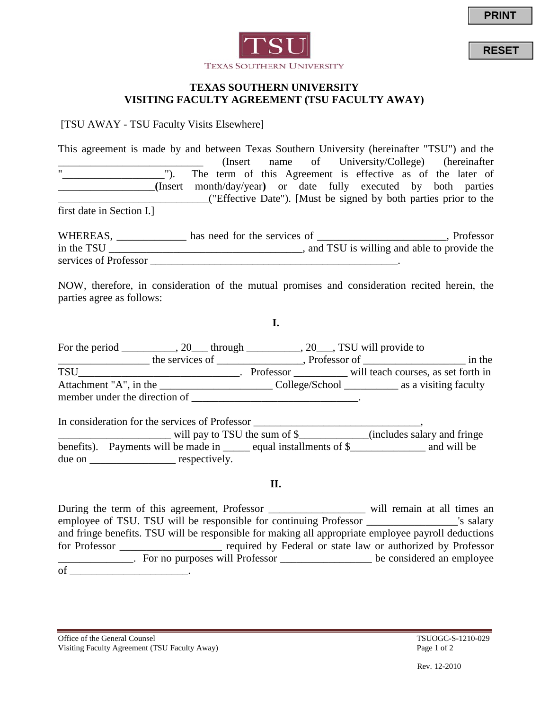

**RESET**



### **TEXAS SOUTHERN UNIVERSITY VISITING FACULTY AGREEMENT (TSU FACULTY AWAY)**

[TSU AWAY - TSU Faculty Visits Elsewhere]

This agreement is made by and between Texas Southern University (hereinafter "TSU") and the (Insert name of University/College) (hereinafter<br>"). The term of this Agreement is effective as of the later of The term of this Agreement is effective as of the later of \_\_\_\_\_\_\_\_\_\_\_\_\_\_\_\_\_\_**(**Insert month/day/year**)** or date fully executed by both parties \_\_\_\_\_\_\_\_\_\_\_\_\_\_\_\_\_\_\_\_\_\_\_\_\_\_\_\_("Effective Date"). [Must be signed by both parties prior to the first date in Section I.]

WHEREAS, \_\_\_\_\_\_\_\_\_\_\_\_\_ has need for the services of \_\_\_\_\_\_\_\_\_\_\_\_\_\_\_\_\_\_\_\_\_, Professor in the TSU \_\_\_\_\_\_\_\_\_\_\_\_\_\_\_\_\_\_\_\_\_\_\_\_\_\_\_\_\_\_\_\_\_, and TSU is willing and able to provide the services of Professor  $\blacksquare$ 

NOW, therefore, in consideration of the mutual promises and consideration recited herein, the parties agree as follows:

**I.**

For the period \_\_\_\_\_\_\_\_, 20\_\_\_ through \_\_\_\_\_\_\_\_, 20\_\_\_, TSU will provide to  $\frac{1}{\sqrt{1-\frac{1}{2}}}\$  the services of \_\_\_\_\_\_\_\_\_\_\_, Professor of \_\_\_\_\_\_\_\_\_\_\_\_\_\_\_\_\_\_\_\_\_\_\_\_ in the TSU\_\_\_\_\_\_\_\_\_\_\_\_\_\_\_\_\_\_\_\_\_\_\_\_\_\_\_\_\_\_. Professor \_\_\_\_\_\_\_\_\_\_ will teach courses, as set forth in Attachment "A", in the \_\_\_\_\_\_\_\_\_\_\_\_\_\_\_\_\_\_\_\_\_\_\_\_\_\_\_College/School \_\_\_\_\_\_\_\_\_\_\_\_\_\_ as a visiting faculty member under the direction of \_\_\_\_\_\_\_\_\_\_\_\_\_\_\_\_\_\_\_\_\_\_\_\_\_\_\_\_\_\_\_.

In consideration for the services of Professor \_\_\_\_\_\_\_\_\_\_\_\_\_\_\_\_\_\_\_\_\_\_\_\_\_\_\_\_\_\_, \_\_\_\_\_\_\_\_\_\_\_\_\_\_\_\_\_\_\_\_\_ will pay to TSU the sum of \$\_\_\_\_\_\_\_\_\_\_\_\_\_(includes salary and fringe benefits). Payments will be made in \_\_\_\_\_ equal installments of \$\_\_\_\_\_\_\_\_\_\_\_\_\_ and will be due on espectively.

### **II.**

During the term of this agreement, Professor \_\_\_\_\_\_\_\_\_\_\_\_\_\_\_\_\_\_ will remain at all times an employee of TSU. TSU will be responsible for continuing Professor \_\_\_\_\_\_\_\_\_\_\_\_\_\_\_\_\_'s salary and fringe benefits. TSU will be responsible for making all appropriate employee payroll deductions for Professor \_\_\_\_\_\_\_\_\_\_\_\_\_\_\_\_\_\_\_ required by Federal or state law or authorized by Professor \_\_\_\_\_\_\_\_\_\_\_\_\_\_. For no purposes will Professor \_\_\_\_\_\_\_\_\_\_\_\_\_\_\_\_\_ be considered an employee of \_\_\_\_\_\_\_\_\_\_\_\_\_\_\_\_\_\_\_\_\_\_.